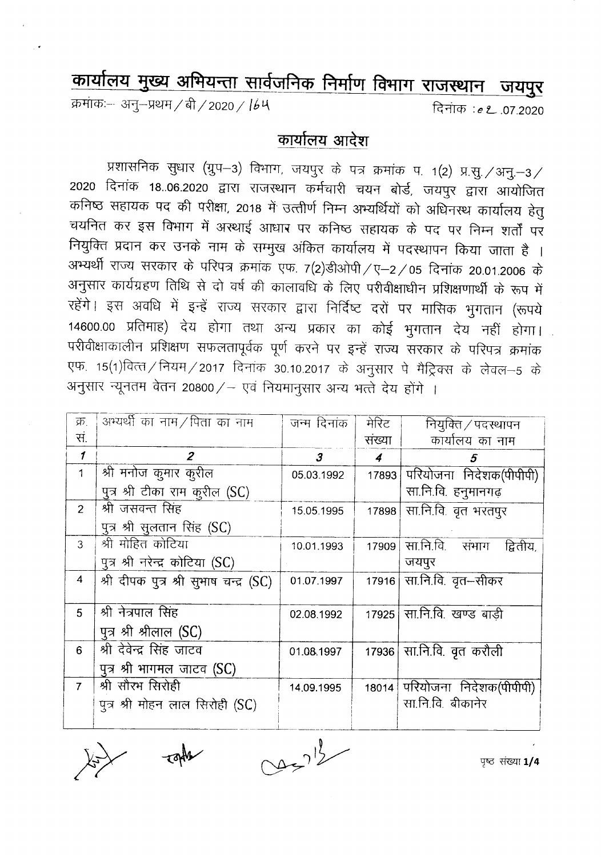## कार्यालय मुख्य अभियन्ता सार्वजनिक निर्माण विभाग राजस्थान जयपुर

क्रमांकः-- अनु–प्रथम / बी / 2020 / 164

दिनांक :e **2** .07.2020

## कार्यालय आदेश

प्रशासनिक सुधार (ग्रुप-3) विभाग, जयपुर के पत्र क्रमांक प. 1(2) प्र.सु./अनु.-3/ 2020 दिनांक 18..06.2020 द्वारा राजस्थान कर्मचारी चयन बोर्ड, जयपुर द्वारा आयोजित कनिष्ठ सहायक पद की परीक्षा, 2018 में उत्तीर्ण निम्न अभ्यर्थियों को अधिनस्थ कार्यालय हेतु चयनित कर इस विभाग में अस्थाई आंधार पर कनिष्ठ सहायक के पद पर निम्न शर्तों पर नियुक्ति प्रदान कर उनके नाम के सम्मुख अंकित कार्यालय में पदस्थापन किया जाता है । अभ्यर्थी राज्य सरकार के परिपत्र क्रमांक एफ. 7(2)डीओपी / ए–2 / 05 दिनांक 20.01.2006 के अनुसार कार्यग्रहण तिथि से दो वर्ष की कालावधि के लिए परीवीक्षाधीन प्रशिक्षणार्थी के रूप में रहेंगे। इस अवधि में इन्हें राज्य सरकार द्वारा निर्दिष्ट दरों पर मासिक भुगतान (रूपये 14600.00 प्रतिमाह) देय होगा तथा अन्य प्रकार का कोई भुगतान देय नहीं होगा। परीवीक्षाकालीन प्रशिक्षण सफलतापूर्वक पूर्ण करने पर इन्हें राज्य सरकार के परिपत्र क्रमांक एफ. 15(1)वित्त/नियम/2017 दिनांक 30.10.2017 के अनुसार पे मैट्रिक्स के लेवल-5 के अनुसार न्यूनतम वेतन 20800/- एवं नियमानुसार अन्य भत्ते देय होंगे ।

| क्र.           | अभ्यर्थी का नाम/पिता का नाम            | जन्म दिनांक          | मेरिट            | नियुक्ति / पदस्थापन             |
|----------------|----------------------------------------|----------------------|------------------|---------------------------------|
| स.             |                                        |                      | संख्या           | कार्यालय का नाम                 |
| 1              | $\overline{2}$                         | $\boldsymbol{\beta}$ | $\boldsymbol{4}$ | 5                               |
| $\mathbf{1}$   | श्री मनोज कुमार कुरील                  | 05.03.1992           |                  | 17893 परियोजना निर्देशक(पीपीपी) |
|                | पुत्र श्री टीका राम कुरील (SC)         |                      |                  | सा.नि.वि. हनुमानगढ़             |
| 2 <sup>1</sup> | श्री जसवन्त सिंह                       | 15.05.1995           | 17898            | सा.नि.वि. वृत भरतपुर            |
|                | पुत्र श्री सूलतान सिंह (SC)            |                      |                  |                                 |
| 3              | श्री मोहित कोटिया                      | 10.01.1993           | 17909            | सा.नि.वि. संभाग<br>द्वितीय,     |
|                | पुत्र श्री नरेन्द्र कोटिया (SC)        |                      |                  | जयपुर                           |
| 4              | श्री दीपक पुत्र श्री सूभाष चन्द्र (SC) | 01.07.1997           |                  | 17916 सा.नि.वि. वृत-सीकर        |
|                |                                        |                      |                  |                                 |
| 5              | श्री नेत्रपाल सिंह                     | 02.08.1992           |                  | 17925 सा.नि.वि. खण्ड बाड़ी      |
|                | पुत्र श्री श्रीलाल (SC)                |                      |                  |                                 |
| 6              | श्री देवेन्द्र सिंह जाटव               | 01.08.1997           |                  | 17936 सा.नि.वि. वृत करौली       |
|                | पुत्र श्री भागमल जाटव (SC)             |                      |                  |                                 |
| $\overline{7}$ | श्री सौरभ सिरोही                       | 14,09.1995           |                  | 18014 परियोजना निदेशक(पीपीपी)   |
|                | पुत्र श्री मोहन लाल सिरोही (SC)        |                      |                  | सा.नि.वि. बीकानेर               |
|                |                                        |                      |                  |                                 |

 $2233$ 

पृष्ठ संख्या 1/4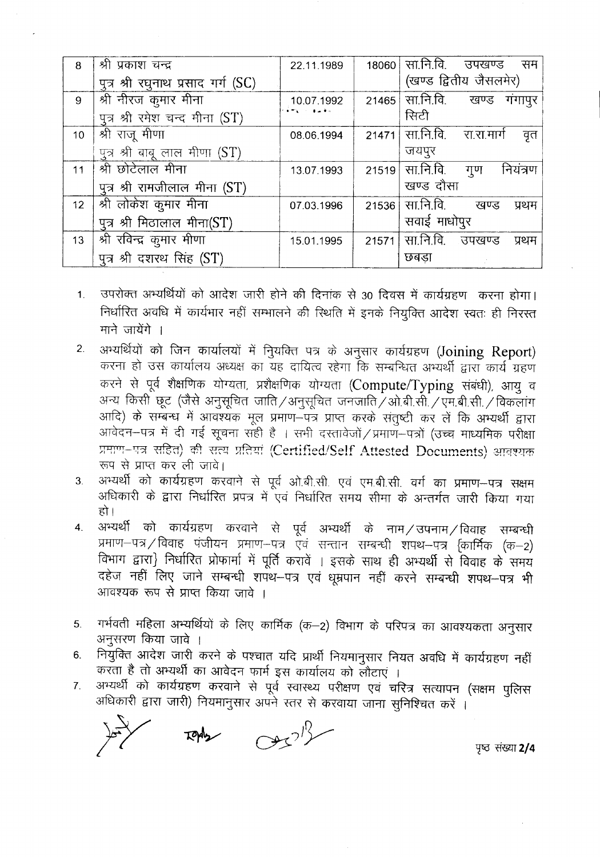| 8               | श्री प्रकाश चन्द्र                 | 22.11.1989 |       | 18060 सा.नि.वि. उपखण्ड<br>सम |
|-----------------|------------------------------------|------------|-------|------------------------------|
|                 | पुत्र श्री रघुनाथ प्रसाद गर्ग (SC) |            |       | (खण्ड द्वितीय जैसलमेर)       |
| 9               | श्री नीरज कुमार मीना               | 10.07.1992 | 21465 | सा.नि.वि.<br>खण्ड गंगापुर    |
|                 | पत्र श्री रमेश चन्द मीना (ST)      | im sala    |       | सिटी                         |
| 10              | श्री राजू मीणा                     | 08.06.1994 | 21471 | सा.नि.वि. रा.रा.मार्ग<br>वृत |
|                 | पुत्र श्री बाबू लाल मीणा (ST)      |            |       | जयपुर                        |
| 11              | श्री छोटेलाल मीना                  | 13.07.1993 | 21519 | सा.नि.वि.<br>नियंत्रण<br>गुण |
|                 | पुत्र श्री रामजीलाल मीना (ST)      |            |       | खण्ड दौसा                    |
| 12 <sup>7</sup> | श्री लोकेश कुमार मीना              | 07.03.1996 | 21536 | सा.नि.वि.<br>खण्ड<br>प्रथम   |
|                 | पुत्र श्री मिठालाल मीना(ST)        |            |       | सवाई माधोपुर                 |
| 13              | श्री रविन्द्र कुमार मीणा           | 15.01.1995 | 21571 | सा.नि.वि. उपखण्ड<br>प्रथम    |
|                 | पुत्र श्री दशरथ सिंह (ST)          |            |       | छबडा                         |

- 1. उपरोक्त अभ्यर्थियों को आदेश जारी होने की दिनांक से 30 दिवस में कार्यग्रहण करना होगा। निर्धारित अवधि में कार्यभार नहीं सम्भालने की स्थिति में इनके नियुक्ति आदेश स्वतः ही निरस्त माने जायेंगे ।
- 2. अभ्यर्थियों को जिन कार्यालयों में नियक्ति पत्र के अनुसार कार्यग्रहण (Joining Report) करना हो उस कार्यालय अध्यक्ष का यह दायित्व रहेगा कि सम्बन्धित अभ्यर्थी द्वारा कार्य ग्रहण करने से पूर्व शैक्षणिक योग्यता, प्रशैक्षणिक योग्यता (Compute/Typing संबंधी), आयु व अन्य किसी छूट (जैसे अनुसूचित जाति/अनुसूचित जनजाति/ओ.बी.सी./एम.बी.सी./विकलांग 311दि) के सम्बन्ध में आवश्यक मूल प्रमाण—पत्र प्राप्त करके संतुष्टी कर लें कि अभ्यर्थी द्वारा आवेदन-पत्र में दी गई सूचना सही है । सभी दस्तावेजों / प्रमाण-पत्रों (उच्च माध्यमिक परीक्षा प्रमाण–पत्र सहित) की सत्य प्रतियां (Certified/Self Attested Documents) आवश्यक  $\pi$ प से प्राप्त कर ली जावे।
- 3. अभ्यर्थी को कार्यग्रहण करवाने से पूर्व ओ.बी.सी. एवं एम.बी.सी. वर्ग का प्रमाण--पत्र सक्षम अधिकारी के द्वारा निर्धारित प्रपत्र में एवं निर्धारित समय सीमा के अन्तर्गत जारी किया गया हो।
- 4. अभ्यर्थी को कार्यग्रहण करवाने से पूर्व अभ्यर्थी के नाम/उपनाम/विवाह सम्बन्धी प्रमाण-पत्र / विवाह पंजीयन प्रमाण-पत्र ऐवं सन्तान सम्बन्धी शपथ-पत्र {कार्मिक (क-2) विभाग द्वारा} निर्धारित प्रोफार्मा में पूर्ति करावें । इसके साथ ही अभ्यर्थी से विवाह के समय दहेज नहीं लिए जाने सम्बन्धी शपथ–पत्र एवं धूम्रपान नहीं करने सम्बन्धी शपथ–पत्र भी आवश्यक रूप से प्राप्त किया जावे ।
- 5. <sup>~</sup> <sup>~</sup> <sup>~</sup> \* ~ ¢I~¢ ('Cf)'-2) fcrwr \* ~ q)T 31lq~£lCf)dl ~ अनुसरण किया जावे ।
- 6. नियुक्ति आदेश जारी करने के पश्चात यदि प्रार्थी नियमानुसार नियत अवधि में कार्यग्रहण नहीं करता है तो अभ्यर्थी का आवेदन फार्म इस कार्यालय को लौटाएं ।
- 7. अभ्यर्थी को कार्यग्रहण करवाने से पूर्व स्वास्थ्य परीक्षण एवं चरित्र सत्यापन (सक्षम पुलिस अधिकारी द्वारा जारी) नियमानुसार अपने स्तर से करवाया जाना सुनिश्चित करें ।

*,.y* '[fO 'fflg;rr **2/4**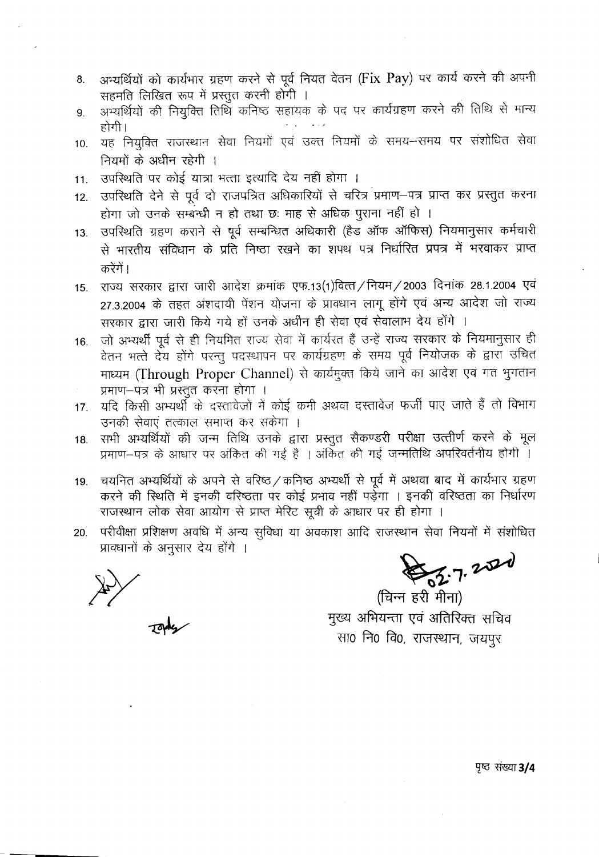- 8. अभ्यर्थियों को कार्यभार ग्रहण करने से पूर्व नियत वेतन (Fix Pay) पर कार्य करने की अपनी सहमति लिखित रूप में प्रस्तुत करनी होगी ।
- 9. अभ्यर्थियों की नियुक्ति तिथि कनिष्ठ सहायक के पद पर कार्यग्रहण करने की तिथि से मान्य होगी।
- 10. यह नियुक्ति राजस्थान सेवा नियमों एवं उक्त नियमों के समय-समय पर संशोधित सेवा नियमों के अधीन रहेगी ।
- 11. उपस्थिति पर कोई यात्रा भत्ता इत्यादि देय नहीं होगा ।
- 12. उपरिथति देने से पूर्व दो राजपत्रित अधिकारियों से चरित्र प्रमाण-पत्र प्राप्त कर प्रस्तुत करना होगा जो उनके सम्बन्धी न हो तथा छः माह से अधिक पूराना नहीं हो ।
- 13. उपस्थिति ग्रहण कराने से पूर्व सम्बन्धित अधिकारी (हैड ऑफ ऑफिस) नियमानुसार कर्मचारी से भारतीय संविधान के प्रति निष्ठा रखने का शपथ पत्र निर्धारित प्रपत्र में भरवाकर प्राप्त करेंगें ।
- 15. राज्य सरकार द्वारा जारी आदेश क्रमांक एफ.13(1)वित्त / नियम / 2003 दिनांक 28.1.2004 एवं 27.3.2004 के तहत अंशदायी पेंशन योजना के प्रावधान लागू होंगे एवं अन्य आदेश जो राज्य सरकार द्वारा जारी किये गये हों उनके अधीन ही सेवा एवं सेवालाभ देय होंगे ।
- 16. जो अभ्यर्थी पूर्व से ही नियमित राज्य सेवा में कार्यरत हैं उन्हें राज्य सरकार के नियमानुसार ही वेतन भत्ते देय होंगे परन्तु पदस्थापन पर कार्यग्रहण के समय पूर्व नियोजक के द्वारा उचित माध्यम (Through Proper Channel) से कार्यमुक्त किये जाने का आदेश एवं गत भुगतान प्रमाण-पत्र भी प्रस्तुत करना होगा ।
- 17. यदि किसी अभ्यर्थी के दस्तावेजों में कोई कमी अथवा दस्तावेज फर्जी पाए जाते हैं तो विभाग उनकी सेवाएं तत्काल समाप्त कर सकेगा ।
- 18. सभी अभ्यर्थियों की जन्म तिथि उनके द्वारा प्रस्तुत सैकण्डरी परीक्षा उत्त्तीर्ण करने के मूल प्रमाण-पत्र के आधार पर अंकित की गई है । अंकित की गई जन्मतिथि अपरिवर्तनीय होगी ।
- 19. चयनित अभ्यर्थियों के अपने से वरिष्ठ / कनिष्ठ अभ्यर्थी से पूर्व में अथवा बाद में कार्यभार ग्रहण करने की स्थिति में इनकी वरिष्ठता पर कोई प्रभाव नहीं पड़ेगा । इनकी वरिष्ठता का निर्धारण राजस्थान लोक सेवा आयोग से प्राप्त मेरिट सूची के आधार पर ही होगा ।
- 20. परीवीक्षा प्रशिक्षण अवधि में अन्य सुविधा या अवकाश आदि राजस्थान सेवा नियमों में संशोधित प्राक्धानों के अनुसार देय होंगे ।

 $2024$ 

(चिन्न हरी मीना) मुख्य अभियन्ता एवं अतिरिक्त सचिव सा0 नि0 वि0, राजस्थान, जयपूर

**पृष्ठ** संख्या 3/4